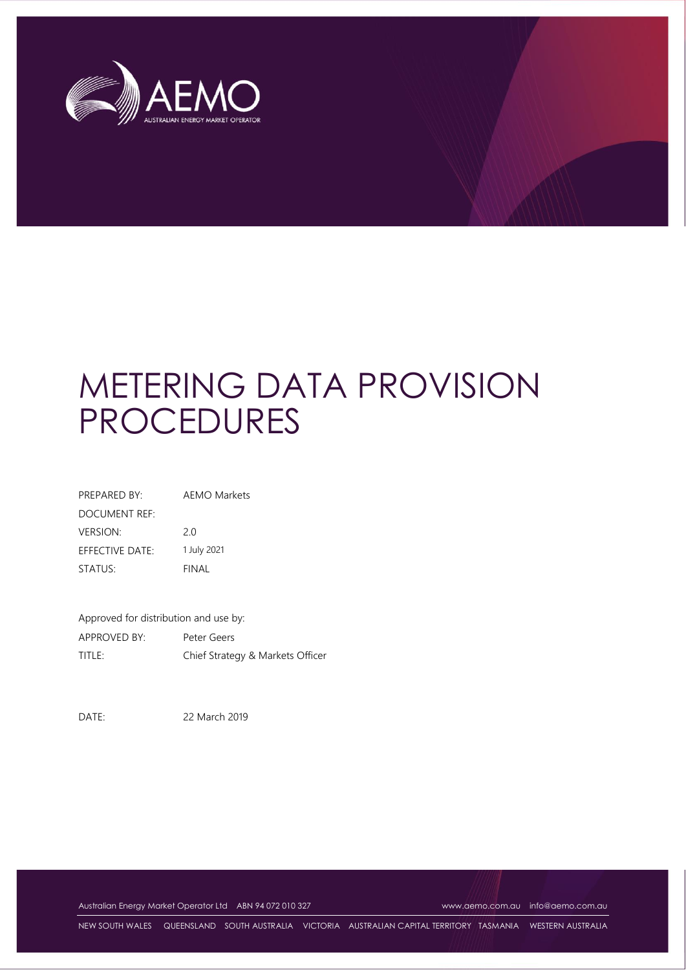

# METERING DATA PROVISION PROCEDURES

| PREPARED BY:    | <b>AEMO Markets</b> |  |  |  |
|-----------------|---------------------|--|--|--|
| DOCUMENT REF:   |                     |  |  |  |
| <b>VERSION:</b> | 20                  |  |  |  |
| EFFECTIVE DATE: | 1 July 2021         |  |  |  |
| STATUS:         | <b>FINAL</b>        |  |  |  |

Approved for distribution and use by: APPROVED BY: Peter Geers TITLE: Chief Strategy & Markets Officer

DATE: 22 March 2019

Australian Energy Market Operator Ltd ABN 94 072 010 327 [www.aemo.com.au](http://www.aemo.com.au/) [info@aemo.com.au](mailto:info@aemo.com.au) info@aemo.com.au

NEW SOUTH WALES QUEENSLAND SOUTH AUSTRALIA VICTORIA AUSTRALIAN CAPITAL TERRITORY TASMANIA WESTERN AUSTRALIA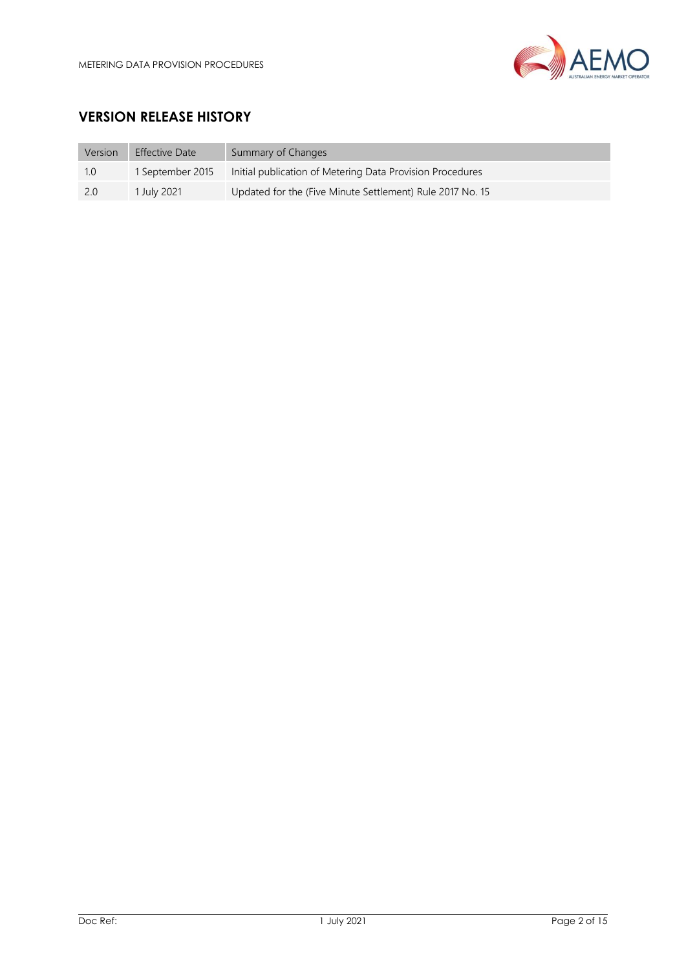

# **VERSION RELEASE HISTORY**

| Version | <b>Effective Date</b> | Summary of Changes                                        |
|---------|-----------------------|-----------------------------------------------------------|
| 1.0     | 1 September 2015      | Initial publication of Metering Data Provision Procedures |
| -2.0    | 1 July 2021           | Updated for the (Five Minute Settlement) Rule 2017 No. 15 |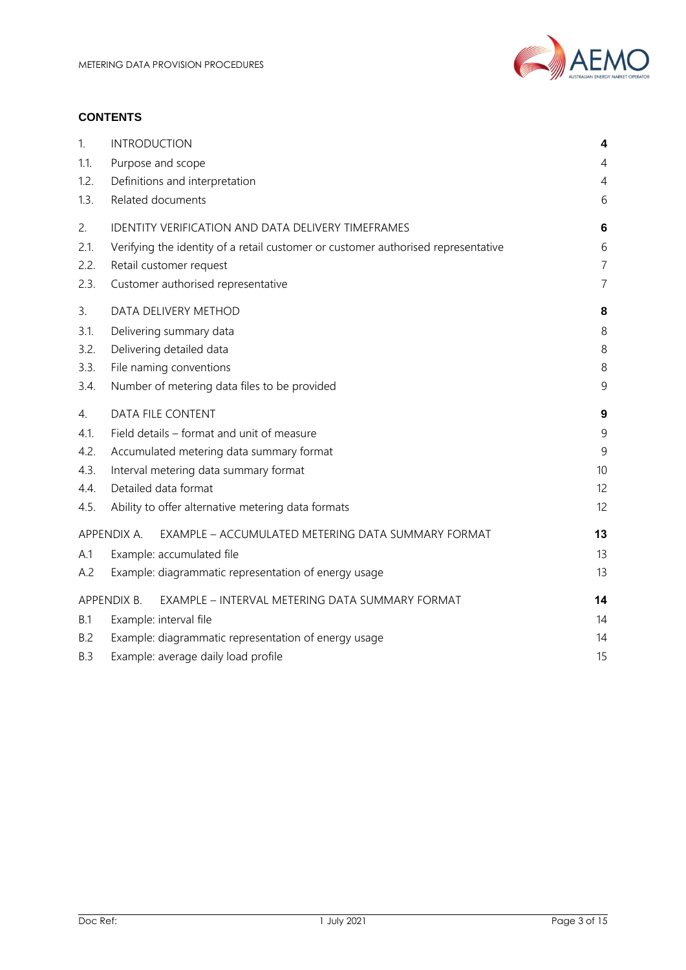

#### **CONTENTS**

| 1.         | <b>INTRODUCTION</b>                                                               | 4              |
|------------|-----------------------------------------------------------------------------------|----------------|
| 1.1.       | Purpose and scope                                                                 | 4              |
| 1.2.       | Definitions and interpretation                                                    | $\overline{4}$ |
| 1.3.       | Related documents                                                                 | 6              |
| 2.         | IDENTITY VERIFICATION AND DATA DELIVERY TIMEFRAMES                                | 6              |
| 2.1.       | Verifying the identity of a retail customer or customer authorised representative | 6              |
| 2.2.       | Retail customer request                                                           | $\overline{7}$ |
| 2.3.       | Customer authorised representative                                                | $\overline{7}$ |
| 3.         | DATA DELIVERY METHOD                                                              | 8              |
| 3.1.       | Delivering summary data                                                           | 8              |
| 3.2.       | Delivering detailed data                                                          | $\,8\,$        |
| 3.3.       | File naming conventions                                                           | 8              |
| 3.4.       | Number of metering data files to be provided                                      | 9              |
| 4.         | DATA FILE CONTENT                                                                 | 9              |
| 4.1.       | Field details - format and unit of measure                                        | 9              |
| 4.2.       | Accumulated metering data summary format                                          | 9              |
| 4.3.       | Interval metering data summary format                                             | 10             |
| 4.4.       | Detailed data format                                                              | 12             |
| 4.5.       | Ability to offer alternative metering data formats                                | 12             |
|            | APPENDIX A.<br>EXAMPLE - ACCUMULATED METERING DATA SUMMARY FORMAT                 | 13             |
| A.1        | Example: accumulated file                                                         | 13             |
| A.2        | Example: diagrammatic representation of energy usage                              | 13             |
|            | APPENDIX B.<br>EXAMPLE - INTERVAL METERING DATA SUMMARY FORMAT                    | 14             |
| <b>B.1</b> | Example: interval file                                                            | 14             |
| <b>B.2</b> | Example: diagrammatic representation of energy usage                              | 14             |
|            |                                                                                   |                |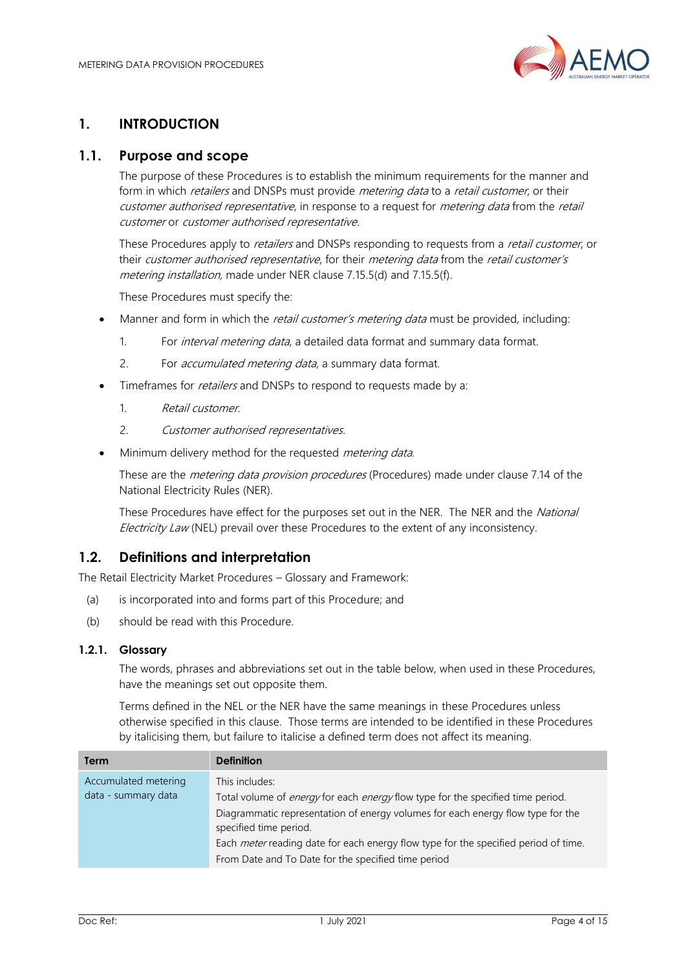

# <span id="page-3-0"></span>**1. INTRODUCTION**

#### <span id="page-3-1"></span>**1.1. Purpose and scope**

The purpose of these Procedures is to establish the minimum requirements for the manner and form in which retailers and DNSPs must provide metering data to a retail customer, or their customer authorised representative, in response to a request for metering data from the retail customer or customer authorised representative.

These Procedures apply to *retailers* and DNSPs responding to requests from a *retail customer*, or their customer authorised representative, for their metering data from the retail customer's metering installation, made under NER clause 7.15.5(d) and 7.15.5(f).

These Procedures must specify the:

- Manner and form in which the retail customer's metering data must be provided, including:
	- 1. For *interval metering data*, a detailed data format and summary data format.
	- 2. For *accumulated metering data*, a summary data format.
- Timeframes for *retailers* and DNSPs to respond to requests made by a:
	- 1. Retail customer.
	- 2. Customer authorised representatives.
- Minimum delivery method for the requested *metering data*.

These are the *metering data provision procedures* (Procedures) made under clause 7.14 of the National Electricity Rules (NER).

These Procedures have effect for the purposes set out in the NER. The NER and the National Electricity Law (NEL) prevail over these Procedures to the extent of any inconsistency.

#### <span id="page-3-2"></span>**1.2. Definitions and interpretation**

The Retail Electricity Market Procedures – Glossary and Framework:

- (a) is incorporated into and forms part of this Procedure; and
- (b) should be read with this Procedure.

#### **1.2.1. Glossary**

The words, phrases and abbreviations set out in the table below, when used in these Procedures, have the meanings set out opposite them.

Terms defined in the NEL or the NER have the same meanings in these Procedures unless otherwise specified in this clause. Those terms are intended to be identified in these Procedures by italicising them, but failure to italicise a defined term does not affect its meaning.

| <b>Term</b>                                 | <b>Definition</b>                                                                                                                                                                                                                                                                                                                                                                 |
|---------------------------------------------|-----------------------------------------------------------------------------------------------------------------------------------------------------------------------------------------------------------------------------------------------------------------------------------------------------------------------------------------------------------------------------------|
| Accumulated metering<br>data - summary data | This includes:<br>Total volume of <i>energy</i> for each <i>energy</i> flow type for the specified time period.<br>Diagrammatic representation of energy volumes for each energy flow type for the<br>specified time period.<br>Each <i>meter</i> reading date for each energy flow type for the specified period of time.<br>From Date and To Date for the specified time period |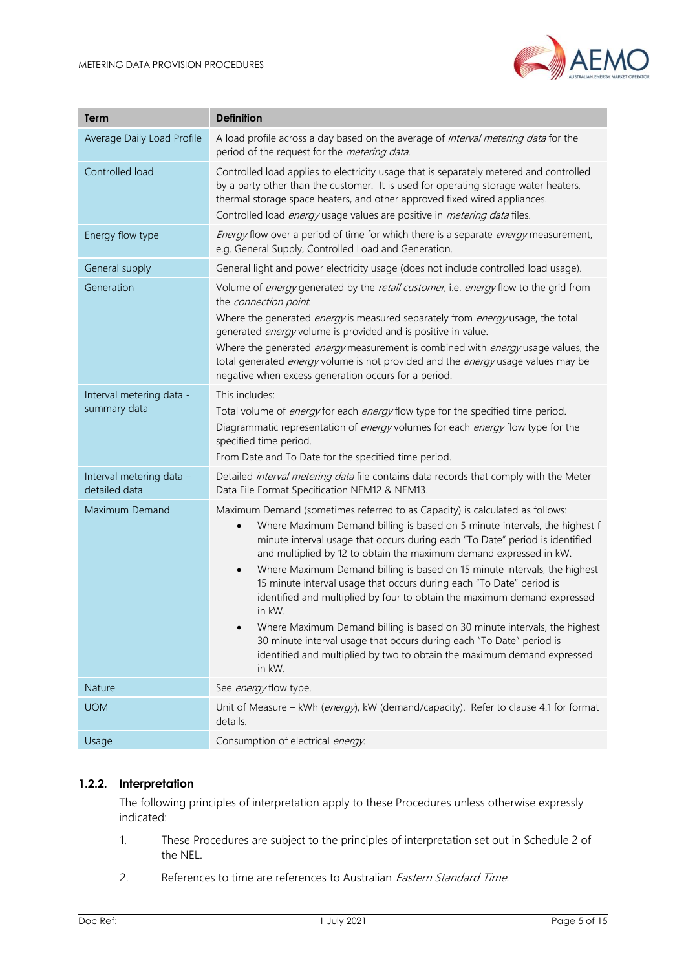

| Term                                      | <b>Definition</b>                                                                                                                                                                                                                                                                                                                                                                                                                                                                                                                                                                                                                                                                                                                                                                                                               |
|-------------------------------------------|---------------------------------------------------------------------------------------------------------------------------------------------------------------------------------------------------------------------------------------------------------------------------------------------------------------------------------------------------------------------------------------------------------------------------------------------------------------------------------------------------------------------------------------------------------------------------------------------------------------------------------------------------------------------------------------------------------------------------------------------------------------------------------------------------------------------------------|
| Average Daily Load Profile                | A load profile across a day based on the average of <i>interval metering data</i> for the<br>period of the request for the metering data.                                                                                                                                                                                                                                                                                                                                                                                                                                                                                                                                                                                                                                                                                       |
| Controlled load                           | Controlled load applies to electricity usage that is separately metered and controlled<br>by a party other than the customer. It is used for operating storage water heaters,<br>thermal storage space heaters, and other approved fixed wired appliances.<br>Controlled load energy usage values are positive in metering data files.                                                                                                                                                                                                                                                                                                                                                                                                                                                                                          |
| Energy flow type                          | Energy flow over a period of time for which there is a separate energy measurement,<br>e.g. General Supply, Controlled Load and Generation.                                                                                                                                                                                                                                                                                                                                                                                                                                                                                                                                                                                                                                                                                     |
| General supply                            | General light and power electricity usage (does not include controlled load usage).                                                                                                                                                                                                                                                                                                                                                                                                                                                                                                                                                                                                                                                                                                                                             |
| Generation                                | Volume of energy generated by the retail customer, i.e. energy flow to the grid from<br>the connection point.<br>Where the generated <i>energy</i> is measured separately from <i>energy</i> usage, the total<br>generated energy volume is provided and is positive in value.<br>Where the generated <i>energy</i> measurement is combined with <i>energy</i> usage values, the<br>total generated <i>energy</i> volume is not provided and the <i>energy</i> usage values may be<br>negative when excess generation occurs for a period.                                                                                                                                                                                                                                                                                      |
| Interval metering data -<br>summary data  | This includes:<br>Total volume of energy for each energy flow type for the specified time period.<br>Diagrammatic representation of energy volumes for each energy flow type for the<br>specified time period.<br>From Date and To Date for the specified time period.                                                                                                                                                                                                                                                                                                                                                                                                                                                                                                                                                          |
| Interval metering data -<br>detailed data | Detailed interval metering data file contains data records that comply with the Meter<br>Data File Format Specification NEM12 & NEM13.                                                                                                                                                                                                                                                                                                                                                                                                                                                                                                                                                                                                                                                                                          |
| Maximum Demand                            | Maximum Demand (sometimes referred to as Capacity) is calculated as follows:<br>Where Maximum Demand billing is based on 5 minute intervals, the highest f<br>$\bullet$<br>minute interval usage that occurs during each "To Date" period is identified<br>and multiplied by 12 to obtain the maximum demand expressed in kW.<br>Where Maximum Demand billing is based on 15 minute intervals, the highest<br>$\bullet$<br>15 minute interval usage that occurs during each "To Date" period is<br>identified and multiplied by four to obtain the maximum demand expressed<br>in kW.<br>Where Maximum Demand billing is based on 30 minute intervals, the highest<br>30 minute interval usage that occurs during each "To Date" period is<br>identified and multiplied by two to obtain the maximum demand expressed<br>in kW. |
| <b>Nature</b>                             | See energy flow type.                                                                                                                                                                                                                                                                                                                                                                                                                                                                                                                                                                                                                                                                                                                                                                                                           |
| <b>UOM</b>                                | Unit of Measure - kWh (energy), kW (demand/capacity). Refer to clause 4.1 for format<br>details.                                                                                                                                                                                                                                                                                                                                                                                                                                                                                                                                                                                                                                                                                                                                |
| Usage                                     | Consumption of electrical energy.                                                                                                                                                                                                                                                                                                                                                                                                                                                                                                                                                                                                                                                                                                                                                                                               |

#### **1.2.2. Interpretation**

The following principles of interpretation apply to these Procedures unless otherwise expressly indicated:

- 1. These Procedures are subject to the principles of interpretation set out in Schedule 2 of the NEL.
- 2. References to time are references to Australian *Eastern Standard Time*.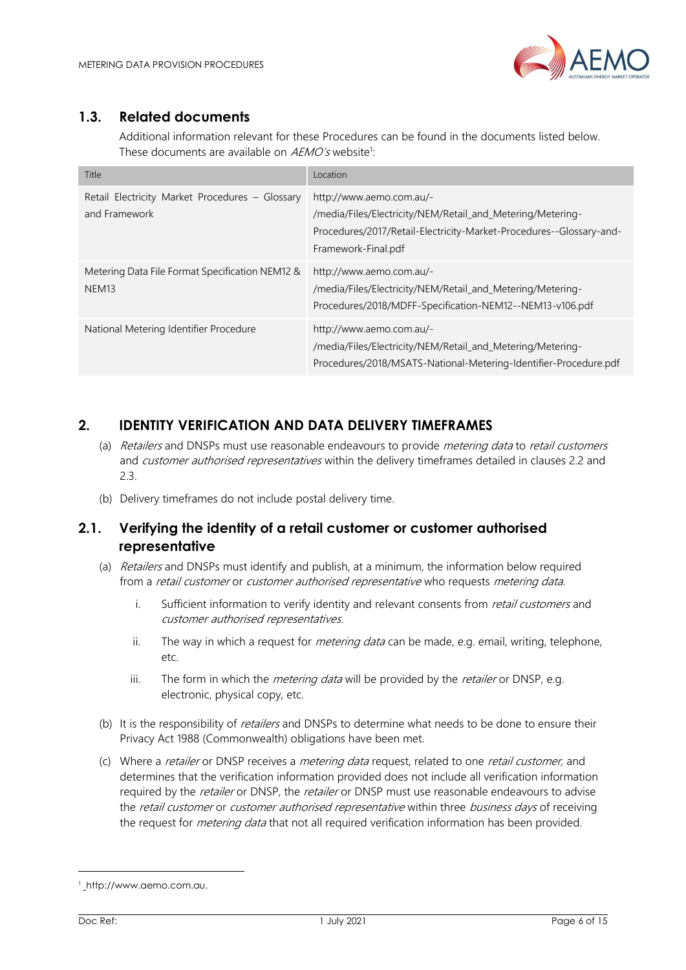

# <span id="page-5-0"></span>**1.3. Related documents**

Additional information relevant for these Procedures can be found in the documents listed below. These documents are available on AEMO's website<sup>1</sup>:

| Title                                                                | Location                                                                                                                                                                             |
|----------------------------------------------------------------------|--------------------------------------------------------------------------------------------------------------------------------------------------------------------------------------|
| Retail Electricity Market Procedures - Glossary<br>and Framework     | http://www.aemo.com.au/-<br>/media/Files/Electricity/NEM/Retail and Metering/Metering-<br>Procedures/2017/Retail-Electricity-Market-Procedures--Glossary-and-<br>Framework-Final.pdf |
| Metering Data File Format Specification NEM12 &<br>NEM <sub>13</sub> | http://www.aemo.com.au/-<br>/media/Files/Electricity/NEM/Retail and Metering/Metering-<br>Procedures/2018/MDFF-Specification-NEM12--NEM13-v106.pdf                                   |
| National Metering Identifier Procedure                               | http://www.aemo.com.au/-<br>/media/Files/Electricity/NEM/Retail and Metering/Metering-<br>Procedures/2018/MSATS-National-Metering-Identifier-Procedure.pdf                           |

# <span id="page-5-1"></span>**2. IDENTITY VERIFICATION AND DATA DELIVERY TIMEFRAMES**

- (a) Retailers and DNSPs must use reasonable endeavours to provide metering data to retail customers and *customer authorised representatives* within the delivery timeframes detailed in clauses 2.2 and 2.3.
- (b) Delivery timeframes do not include postal delivery time.

# <span id="page-5-2"></span>**2.1. Verifying the identity of a retail customer or customer authorised representative**

- (a) Retailers and DNSPs must identify and publish, at a minimum, the information below required from a retail customer or customer authorised representative who requests metering data.
	- i. Sufficient information to verify identity and relevant consents from *retail customers* and customer authorised representatives.
	- ii. The way in which a request for *metering data* can be made, e.g. email, writing, telephone, etc.
	- iii. The form in which the *metering data* will be provided by the *retailer* or DNSP, e.g. electronic, physical copy, etc.
- (b) It is the responsibility of *retailers* and DNSPs to determine what needs to be done to ensure their Privacy Act 1988 (Commonwealth) obligations have been met.
- (c) Where a retailer or DNSP receives a metering data request, related to one retail customer, and determines that the verification information provided does not include all verification information required by the *retailer* or DNSP, the *retailer* or DNSP must use reasonable endeavours to advise the retail customer or customer authorised representative within three business days of receiving the request for *metering data* that not all required verification information has been provided.

l

<sup>1</sup> [http://www.aemo.com.au](file:///C:/Users/dripper/Documents/Docs/AEMC/%20http:/www.aemo.com.au).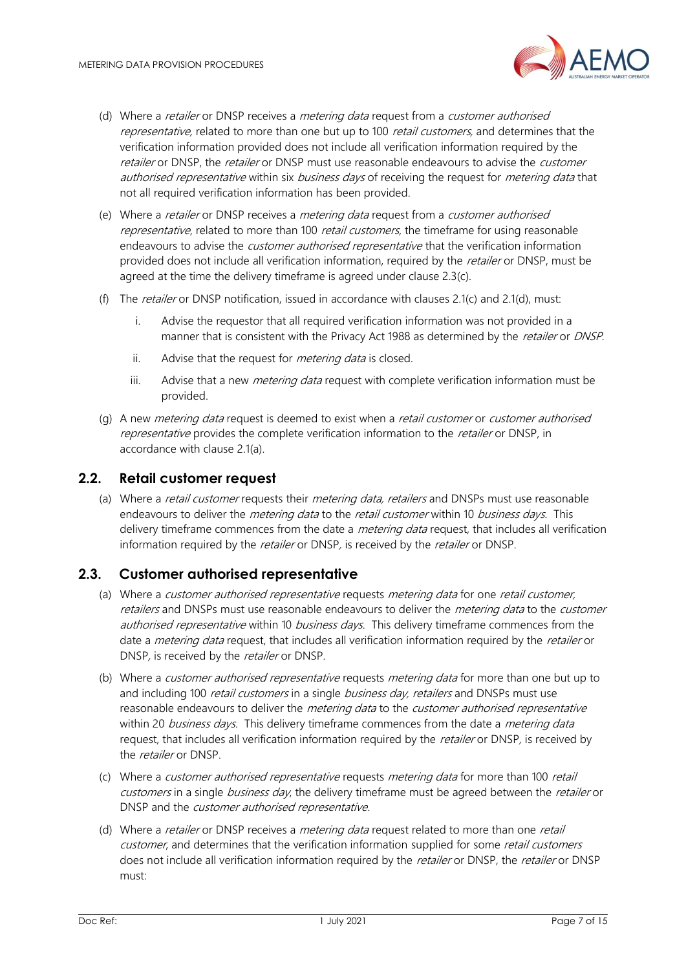

- (d) Where a *retailer* or DNSP receives a *metering data* request from a *customer authorised* representative, related to more than one but up to 100 retail customers, and determines that the verification information provided does not include all verification information required by the retailer or DNSP, the retailer or DNSP must use reasonable endeavours to advise the *customer* authorised representative within six business days of receiving the request for *metering data* that not all required verification information has been provided.
- (e) Where a retailer or DNSP receives a metering data request from a customer authorised representative, related to more than 100 retail customers, the timeframe for using reasonable endeavours to advise the *customer authorised representative* that the verification information provided does not include all verification information, required by the retailer or DNSP, must be agreed at the time the delivery timeframe is agreed under clause 2.3(c).
- (f) The *retailer* or DNSP notification, issued in accordance with clauses 2.1(c) and 2.1(d), must:
	- i. Advise the requestor that all required verification information was not provided in a manner that is consistent with the Privacy Act 1988 as determined by the *retailer* or *DNSP*.
	- ii. Advise that the request for *metering data* is closed.
	- iii. Advise that a new *metering data* request with complete verification information must be provided.
- (q) A new *metering data* request is deemed to exist when a *retail customer* or *customer authorised* representative provides the complete verification information to the retailer or DNSP, in accordance with clause 2.1(a).

#### <span id="page-6-0"></span>**2.2. Retail customer request**

(a) Where a *retail customer* requests their *metering data, retailers* and DNSPs must use reasonable endeavours to deliver the *metering data* to the *retail customer* within 10 *business days*. This delivery timeframe commences from the date a *metering data* request, that includes all verification information required by the *retailer* or DNSP, is received by the *retailer* or DNSP.

# <span id="page-6-1"></span>**2.3. Customer authorised representative**

- (a) Where a customer authorised representative requests metering data for one retail customer, retailers and DNSPs must use reasonable endeavours to deliver the *metering data* to the *customer* authorised representative within 10 business days. This delivery timeframe commences from the date a *metering data* request, that includes all verification information required by the *retailer* or DNSP, is received by the *retailer* or DNSP.
- (b) Where a *customer authorised representative* requests *metering data* for more than one but up to and including 100 retail customers in a single business day, retailers and DNSPs must use reasonable endeavours to deliver the *metering data* to the *customer authorised representative* within 20 business days. This delivery timeframe commences from the date a *metering data* request, that includes all verification information required by the *retailer* or DNSP, is received by the retailer or DNSP.
- (c) Where a customer authorised representative requests metering data for more than 100 retail customers in a single business day, the delivery timeframe must be agreed between the retailer or DNSP and the customer authorised representative.
- (d) Where a retailer or DNSP receives a metering data request related to more than one retail customer, and determines that the verification information supplied for some retail customers does not include all verification information required by the retailer or DNSP, the retailer or DNSP must: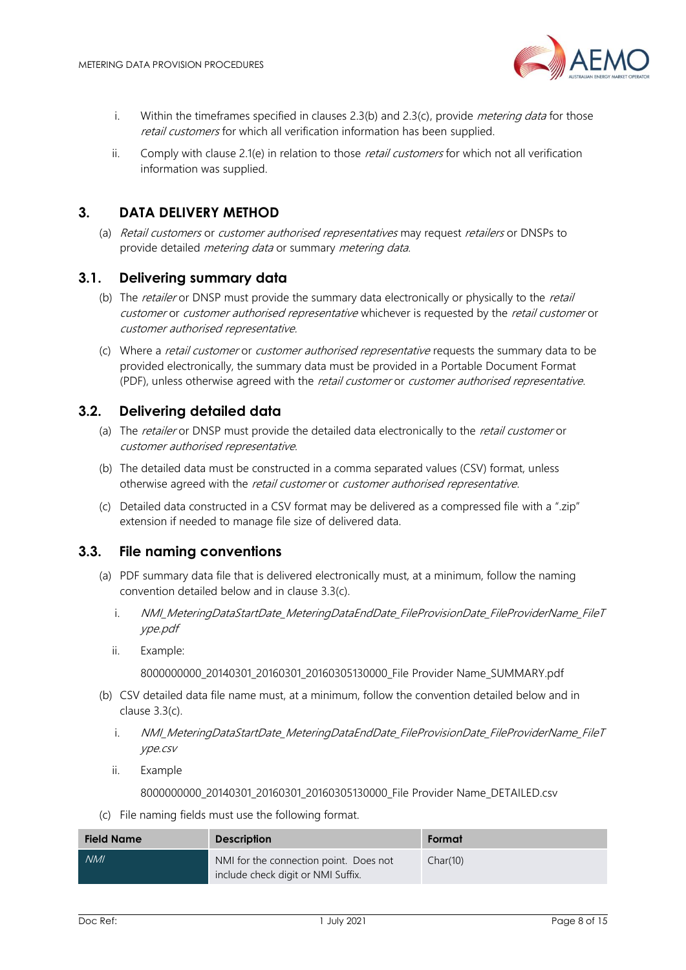

- i. Within the timeframes specified in clauses 2.3(b) and 2.3(c), provide *metering data* for those retail customers for which all verification information has been supplied.
- ii. Comply with clause 2.1(e) in relation to those *retail customers* for which not all verification information was supplied.

# <span id="page-7-0"></span>**3. DATA DELIVERY METHOD**

(a) Retail customers or customer authorised representatives may request retailers or DNSPs to provide detailed *metering data* or summary *metering data*.

# <span id="page-7-1"></span>**3.1. Delivering summary data**

- (b) The *retailer* or DNSP must provide the summary data electronically or physically to the *retail* customer or customer authorised representative whichever is requested by the retail customer or customer authorised representative.
- (c) Where a retail customer or customer authorised representative requests the summary data to be provided electronically, the summary data must be provided in a Portable Document Format (PDF), unless otherwise agreed with the retail customer or customer authorised representative.

# <span id="page-7-2"></span>**3.2. Delivering detailed data**

- (a) The retailer or DNSP must provide the detailed data electronically to the retail customer or customer authorised representative.
- (b) The detailed data must be constructed in a comma separated values (CSV) format, unless otherwise agreed with the retail customer or customer authorised representative.
- (c) Detailed data constructed in a CSV format may be delivered as a compressed file with a ".zip" extension if needed to manage file size of delivered data.

# <span id="page-7-3"></span>**3.3. File naming conventions**

- (a) PDF summary data file that is delivered electronically must, at a minimum, follow the naming convention detailed below and in clause 3.3(c).
	- i. NMI MeteringDataStartDate MeteringDataEndDate FileProvisionDate FileProviderName FileT ype.pdf
	- ii. Example:

8000000000\_20140301\_20160301\_20160305130000\_File Provider Name\_SUMMARY.pdf

- (b) CSV detailed data file name must, at a minimum, follow the convention detailed below and in clause 3.3(c).
	- i. NMI\_MeteringDataStartDate\_MeteringDataEndDate\_FileProvisionDate\_FileProviderName\_FileT ype.csv
	- ii. Example

8000000000 20140301 20160301 20160305130000 File Provider Name DETAILED.csv

(c) File naming fields must use the following format.

| <b>Field Name</b> | <b>Description</b>                                                           | Format   |
|-------------------|------------------------------------------------------------------------------|----------|
| <b>NMI</b>        | NMI for the connection point. Does not<br>include check digit or NMI Suffix. | Char(10) |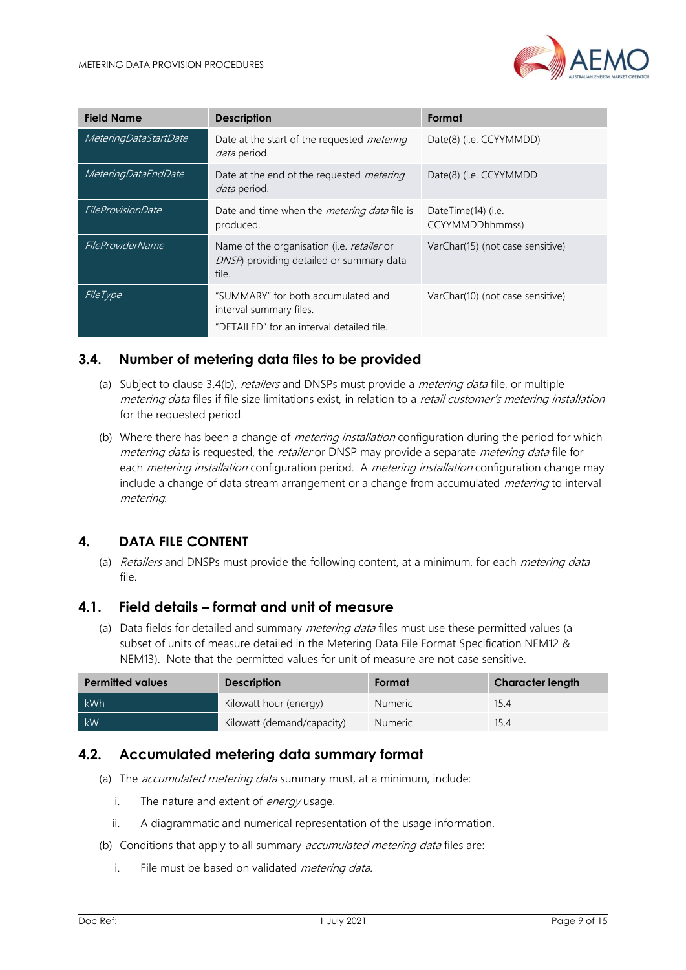

| <b>Field Name</b>     | <b>Description</b>                                                                                         | Format                                |
|-----------------------|------------------------------------------------------------------------------------------------------------|---------------------------------------|
| MeteringDataStartDate | Date at the start of the requested <i>metering</i><br><i>data</i> period.                                  | Date(8) (i.e. CCYYMMDD)               |
| MeteringDataEndDate   | Date at the end of the requested <i>metering</i><br>data period.                                           | Date(8) (i.e. CCYYMMDD                |
| FileProvisionDate     | Date and time when the <i>metering data</i> file is<br>produced.                                           | DateTime(14) (i.e.<br>CCYYMMDDhhmmss) |
| FileProviderName      | Name of the organisation ( <i>i.e. retailer</i> or<br>DNSP) providing detailed or summary data<br>file.    | VarChar(15) (not case sensitive)      |
| <b>FileType</b>       | "SUMMARY" for both accumulated and<br>interval summary files.<br>"DETAILED" for an interval detailed file. | VarChar(10) (not case sensitive)      |

## <span id="page-8-0"></span>**3.4. Number of metering data files to be provided**

- (a) Subject to clause 3.4(b), *retailers* and DNSPs must provide a *metering data* file, or multiple metering data files if file size limitations exist, in relation to a retail customer's metering installation for the requested period.
- (b) Where there has been a change of *metering installation* configuration during the period for which metering data is requested, the retailer or DNSP may provide a separate *metering data* file for each *metering installation* configuration period. A *metering installation* configuration change may include a change of data stream arrangement or a change from accumulated *metering* to interval metering.

# <span id="page-8-1"></span>**4. DATA FILE CONTENT**

(a) Retailers and DNSPs must provide the following content, at a minimum, for each *metering data* file.

#### <span id="page-8-2"></span>**4.1. Field details – format and unit of measure**

(a) Data fields for detailed and summary *metering data* files must use these permitted values (a subset of units of measure detailed in the Metering Data File Format Specification NEM12 & NEM13). Note that the permitted values for unit of measure are not case sensitive.

| <b>Permitted values</b> | <b>Description</b>         | Format         | <b>Character length</b> |
|-------------------------|----------------------------|----------------|-------------------------|
| kWh                     | Kilowatt hour (energy)     | <b>Numeric</b> | 15.4                    |
| kW                      | Kilowatt (demand/capacity) | <b>Numeric</b> | 15.4                    |

#### <span id="page-8-3"></span>**4.2. Accumulated metering data summary format**

- (a) The *accumulated metering data* summary must, at a minimum, include:
	- i. The nature and extent of  $energy$  usage.
	- ii. A diagrammatic and numerical representation of the usage information.
- (b) Conditions that apply to all summary *accumulated metering data* files are:
	- i. File must be based on validated *metering data.*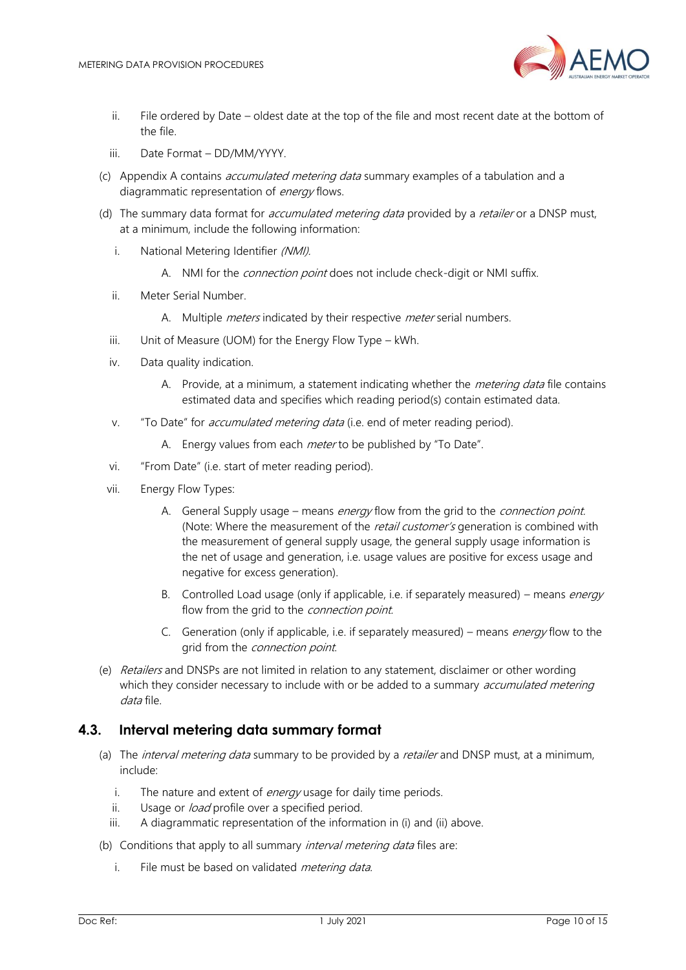

- ii. File ordered by Date oldest date at the top of the file and most recent date at the bottom of the file.
- iii. Date Format DD/MM/YYYY.
- (c) Appendix A contains accumulated metering data summary examples of a tabulation and a diagrammatic representation of *energy* flows.
- (d) The summary data format for *accumulated metering data* provided by a *retailer* or a DNSP must, at a minimum, include the following information:
	- i. National Metering Identifier (NMI).
		- A. NMI for the *connection point* does not include check-digit or NMI suffix.
	- ii. Meter Serial Number.
		- A. Multiple *meters* indicated by their respective *meter* serial numbers.
	- iii. Unit of Measure (UOM) for the Energy Flow Type kWh.
	- iv. Data quality indication.
		- A. Provide, at a minimum, a statement indicating whether the *metering data* file contains estimated data and specifies which reading period(s) contain estimated data.
	- v. "To Date" for *accumulated metering data* (i.e. end of meter reading period).
		- A. Energy values from each *meter* to be published by "To Date".
	- vi. "From Date" (i.e. start of meter reading period).
	- vii. Energy Flow Types:
		- A. General Supply usage means energy flow from the grid to the *connection point.* (Note: Where the measurement of the *retail customer's* generation is combined with the measurement of general supply usage, the general supply usage information is the net of usage and generation, i.e. usage values are positive for excess usage and negative for excess generation).
		- B. Controlled Load usage (only if applicable, i.e. if separately measured) means *energy* flow from the grid to the *connection point.*
		- C. Generation (only if applicable, i.e. if separately measured) means *energy* flow to the grid from the *connection point*.
- (e) Retailers and DNSPs are not limited in relation to any statement, disclaimer or other wording which they consider necessary to include with or be added to a summary *accumulated metering* data file.

#### <span id="page-9-0"></span>**4.3. Interval metering data summary format**

- (a) The *interval metering data* summary to be provided by a *retailer* and DNSP must, at a minimum, include:
	- i. The nature and extent of *energy* usage for daily time periods.
	- ii. Usage or *load* profile over a specified period.
	- iii. A diagrammatic representation of the information in (i) and (ii) above.
- (b) Conditions that apply to all summary *interval metering data* files are:
	- i. File must be based on validated *metering data.*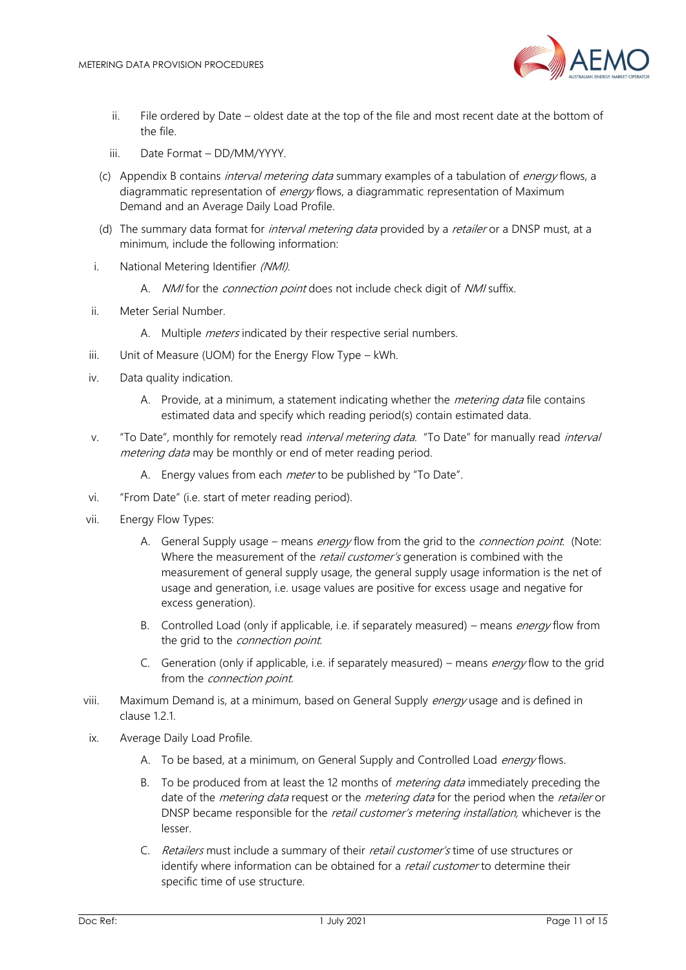

- ii. File ordered by Date oldest date at the top of the file and most recent date at the bottom of the file.
- iii. Date Format DD/MM/YYYY.
- (c) Appendix B contains interval metering data summary examples of a tabulation of energy flows, a diagrammatic representation of *energy* flows, a diagrammatic representation of Maximum Demand and an Average Daily Load Profile.
- (d) The summary data format for *interval metering data* provided by a *retailer* or a DNSP must, at a minimum, include the following information:
- i. National Metering Identifier (NMI).
	- A. *NMI* for the *connection point* does not include check digit of *NMI* suffix.
- ii. Meter Serial Number.
	- A. Multiple *meters* indicated by their respective serial numbers.
- iii. Unit of Measure (UOM) for the Energy Flow Type kWh.
- iv. Data quality indication.
	- A. Provide, at a minimum, a statement indicating whether the *metering data* file contains estimated data and specify which reading period(s) contain estimated data.
- v. "To Date", monthly for remotely read *interval metering data*. "To Date" for manually read *interval* metering data may be monthly or end of meter reading period.
	- A. Energy values from each *meter* to be published by "To Date".
- vi. "From Date" (i.e. start of meter reading period).
- vii. Energy Flow Types:
	- A. General Supply usage means *energy* flow from the grid to the *connection point.* (Note: Where the measurement of the retail customer's generation is combined with the measurement of general supply usage, the general supply usage information is the net of usage and generation, i.e. usage values are positive for excess usage and negative for excess generation).
	- B. Controlled Load (only if applicable, i.e. if separately measured) means *energy* flow from the grid to the *connection point*.
	- C. Generation (only if applicable, i.e. if separately measured) means *energy* flow to the grid from the *connection point*.
- viii. Maximum Demand is, at a minimum, based on General Supply *energy* usage and is defined in clause 12.1.
- ix. Average Daily Load Profile.
	- A. To be based, at a minimum, on General Supply and Controlled Load *energy* flows.
	- B. To be produced from at least the 12 months of *metering data* immediately preceding the date of the *metering data* request or the *metering data* for the period when the *retailer* or DNSP became responsible for the *retail customer's metering installation*, whichever is the lesser.
	- C. Retailers must include a summary of their retail customer's time of use structures or identify where information can be obtained for a *retail customer* to determine their specific time of use structure.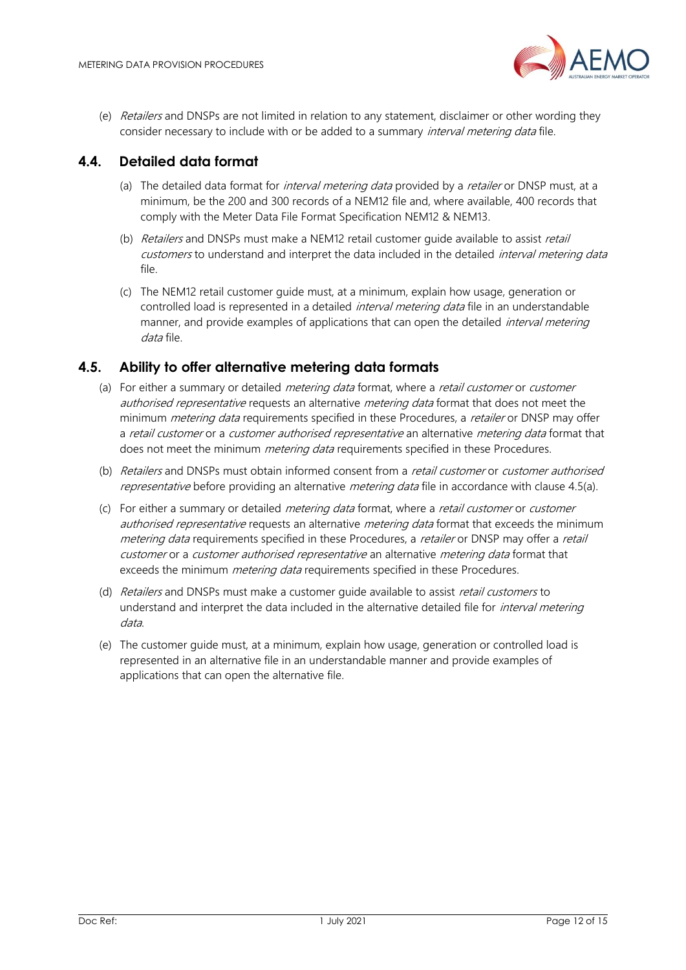

(e) Retailers and DNSPs are not limited in relation to any statement, disclaimer or other wording they consider necessary to include with or be added to a summary *interval metering data* file.

# <span id="page-11-0"></span>**4.4. Detailed data format**

- (a) The detailed data format for *interval metering data* provided by a *retailer* or DNSP must, at a minimum, be the 200 and 300 records of a NEM12 file and, where available, 400 records that comply with the Meter Data File Format Specification NEM12 & NEM13.
- (b) Retailers and DNSPs must make a NEM12 retail customer quide available to assist retail customers to understand and interpret the data included in the detailed *interval metering data* file.
- (c) The NEM12 retail customer guide must, at a minimum, explain how usage, generation or controlled load is represented in a detailed *interval metering data* file in an understandable manner, and provide examples of applications that can open the detailed *interval metering* data file.

## <span id="page-11-1"></span>**4.5. Ability to offer alternative metering data formats**

- (a) For either a summary or detailed *metering data* format, where a *retail customer* or *customer* authorised representative requests an alternative metering data format that does not meet the minimum *metering data* requirements specified in these Procedures, a *retailer* or DNSP may offer a retail customer or a customer authorised representative an alternative metering data format that does not meet the minimum *metering data* requirements specified in these Procedures.
- (b) Retailers and DNSPs must obtain informed consent from a retail customer or customer authorised representative before providing an alternative *metering data* file in accordance with clause 4.5(a).
- (c) For either a summary or detailed *metering data* format, where a *retail customer* or *customer* authorised representative requests an alternative *metering data* format that exceeds the minimum metering data requirements specified in these Procedures, a *retailer* or DNSP may offer a *retail* customer or a customer authorised representative an alternative metering data format that exceeds the minimum *metering data* requirements specified in these Procedures.
- (d) Retailers and DNSPs must make a customer quide available to assist retail customers to understand and interpret the data included in the alternative detailed file for *interval metering* data.
- (e) The customer guide must, at a minimum, explain how usage, generation or controlled load is represented in an alternative file in an understandable manner and provide examples of applications that can open the alternative file.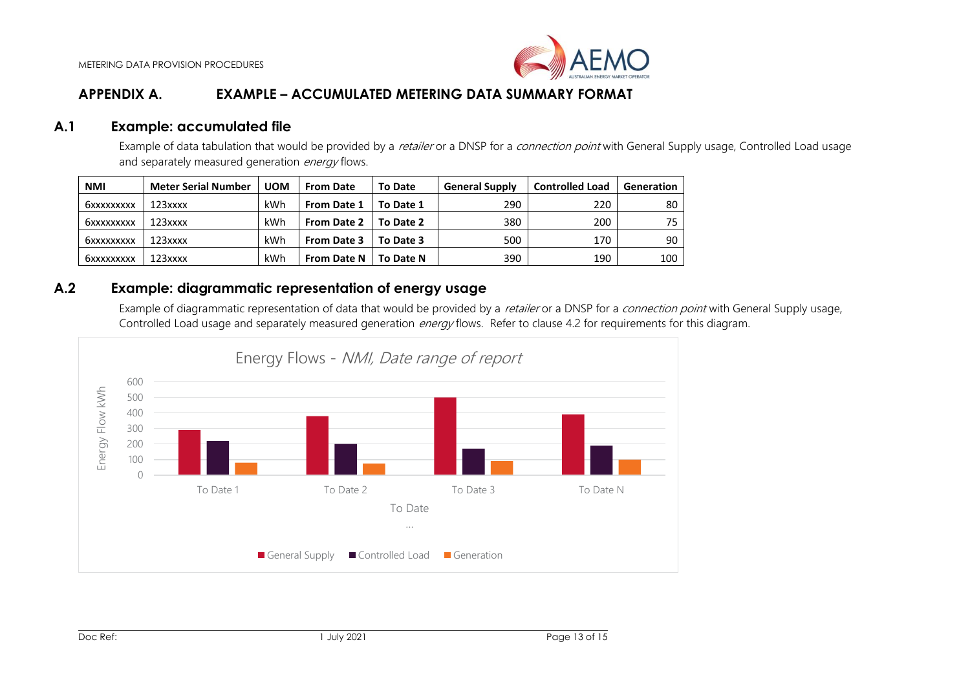

# **APPENDIX A. EXAMPLE – ACCUMULATED METERING DATA SUMMARY FORMAT**

#### **A.1 Example: accumulated file**

Example of data tabulation that would be provided by a *retailer* or a DNSP for a *connection point* with General Supply usage, Controlled Load usage and separately measured generation energy flows.

| <b>NMI</b> | <b>Meter Serial Number</b> | <b>UOM</b> | <b>From Date</b>   | <b>To Date</b> | <b>General Supply</b> | <b>Controlled Load</b> | Generation      |
|------------|----------------------------|------------|--------------------|----------------|-----------------------|------------------------|-----------------|
| 6xxxxxxxxx | $123$ xxxx                 | kWh        | <b>From Date 1</b> | To Date 1      | 290                   | 220                    | 80 <sup>1</sup> |
| 6xxxxxxxxx | $123$ xxxx                 | kWh        | <b>From Date 2</b> | To Date 2      | 380                   | 200                    | 75              |
| бххххххххх | $123$ xxxx                 | kWh        | <b>From Date 3</b> | To Date 3      | 500                   | 170                    | 90              |
| 6xxxxxxxxx | $123$ xxxx                 | kWh        | <b>From Date N</b> | To Date N      | 390                   | 190                    | 100             |

### **A.2 Example: diagrammatic representation of energy usage**

Example of diagrammatic representation of data that would be provided by a retailer or a DNSP for a connection point with General Supply usage, Controlled Load usage and separately measured generation *energy* flows. Refer to clause 4.2 for requirements for this diagram.

<span id="page-12-2"></span><span id="page-12-1"></span><span id="page-12-0"></span>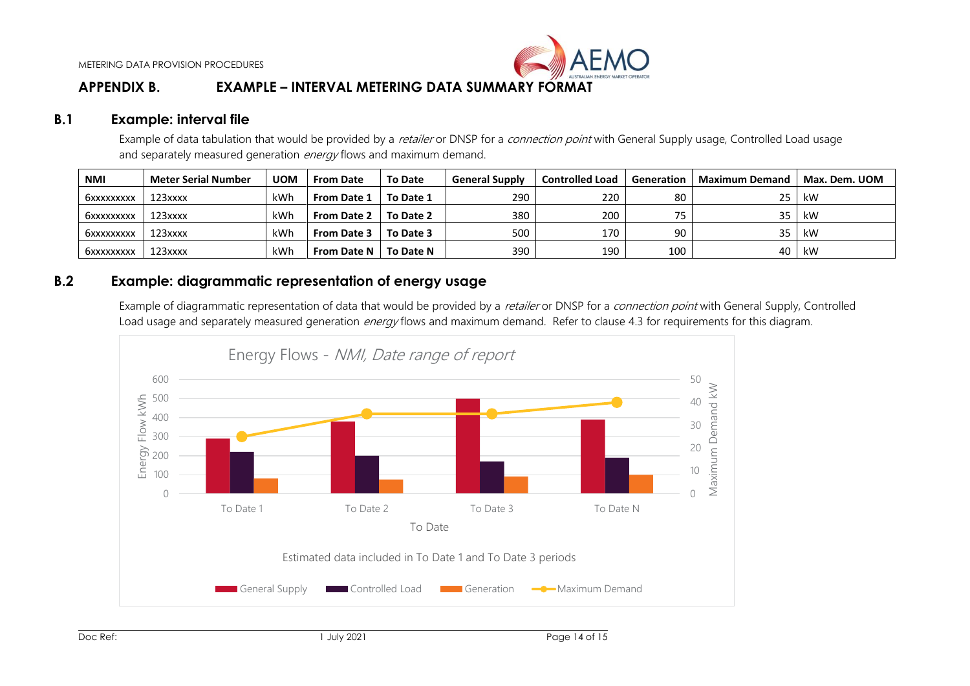

# **APPENDIX B. EXAMPLE – INTERVAL METERING DATA SUMMARY FORMAT**

#### **B.1 Example: interval file**

Example of data tabulation that would be provided by a retailer or DNSP for a connection point with General Supply usage, Controlled Load usage and separately measured generation *energy* flows and maximum demand.

| <b>NMI</b> | <b>Meter Serial Number</b> | <b>UOM</b> | <b>From Date</b>   | <b>To Date</b> | <b>General Supply</b> | <b>Controlled Load</b> | Generation | <b>Maximum Demand</b> | Max. Dem. UOM |
|------------|----------------------------|------------|--------------------|----------------|-----------------------|------------------------|------------|-----------------------|---------------|
| бххххххххх | 123xxxx                    | kWh        | <b>From Date 1</b> | To Date 1      | 290                   | 220                    | 80         | 25                    | kW            |
| бххххххххх | 123xxxx                    | kWh        | <b>From Date 2</b> | To Date 2      | 380                   | 200                    |            | 35                    | kW            |
| 6xxxxxxxxx | 123xxxx                    | kWh        | <b>From Date 3</b> | To Date 3      | 500                   | 170                    | 90         | っこ                    | kW            |
| 6xxxxxxxxx | 123xxxx                    | kWh        | <b>From Date N</b> | To Date N      | 390                   | 190                    | 100        | 40                    | kW            |

# **B.2 Example: diagrammatic representation of energy usage**

Example of diagrammatic representation of data that would be provided by a retailer or DNSP for a connection point with General Supply, Controlled Load usage and separately measured generation *energy* flows and maximum demand. Refer to clause 4.3 for requirements for this diagram.

<span id="page-13-2"></span><span id="page-13-1"></span><span id="page-13-0"></span>